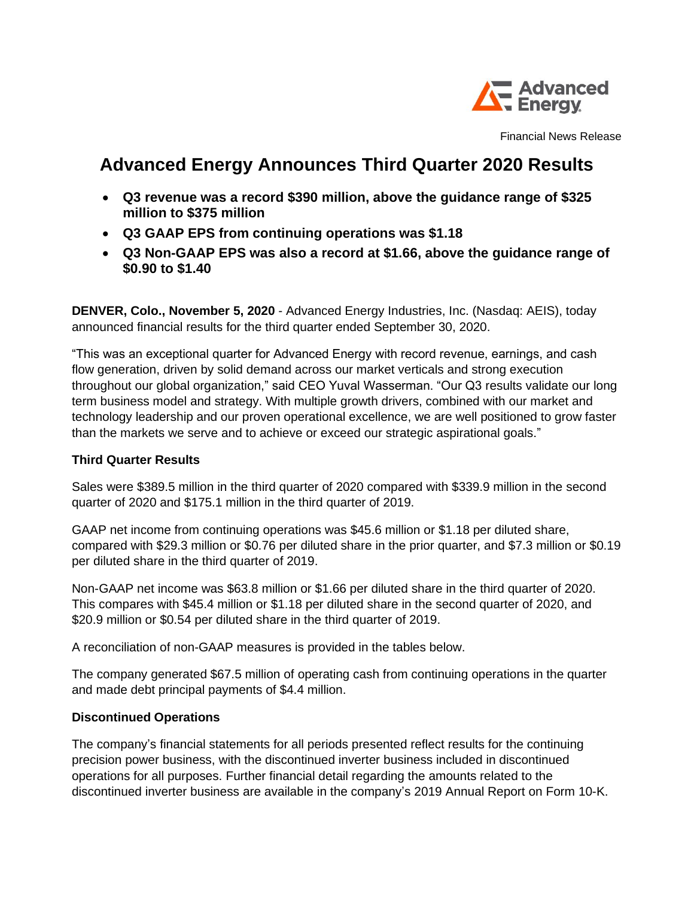

Financial News Release

# **Advanced Energy Announces Third Quarter 2020 Results**

- **Q3 revenue was a record \$390 million, above the guidance range of \$325 million to \$375 million**
- **Q3 GAAP EPS from continuing operations was \$1.18**
- **Q3 Non-GAAP EPS was also a record at \$1.66, above the guidance range of \$0.90 to \$1.40**

**DENVER, Colo., November 5, 2020** - Advanced Energy Industries, Inc. (Nasdaq: AEIS), today announced financial results for the third quarter ended September 30, 2020.

"This was an exceptional quarter for Advanced Energy with record revenue, earnings, and cash flow generation, driven by solid demand across our market verticals and strong execution throughout our global organization," said CEO Yuval Wasserman. "Our Q3 results validate our long term business model and strategy. With multiple growth drivers, combined with our market and technology leadership and our proven operational excellence, we are well positioned to grow faster than the markets we serve and to achieve or exceed our strategic aspirational goals."

#### **Third Quarter Results**

Sales were \$389.5 million in the third quarter of 2020 compared with \$339.9 million in the second quarter of 2020 and \$175.1 million in the third quarter of 2019.

GAAP net income from continuing operations was \$45.6 million or \$1.18 per diluted share, compared with \$29.3 million or \$0.76 per diluted share in the prior quarter, and \$7.3 million or \$0.19 per diluted share in the third quarter of 2019.

Non-GAAP net income was \$63.8 million or \$1.66 per diluted share in the third quarter of 2020. This compares with \$45.4 million or \$1.18 per diluted share in the second quarter of 2020, and \$20.9 million or \$0.54 per diluted share in the third quarter of 2019.

A reconciliation of non-GAAP measures is provided in the tables below.

The company generated \$67.5 million of operating cash from continuing operations in the quarter and made debt principal payments of \$4.4 million.

#### **Discontinued Operations**

The company's financial statements for all periods presented reflect results for the continuing precision power business, with the discontinued inverter business included in discontinued operations for all purposes. Further financial detail regarding the amounts related to the discontinued inverter business are available in the company's 2019 Annual Report on Form 10-K.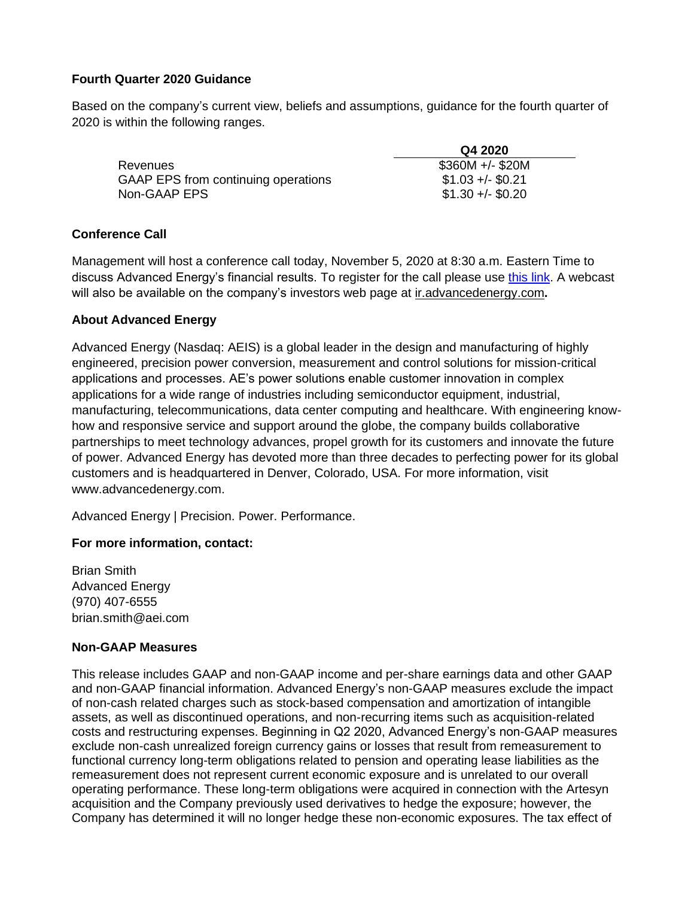### **Fourth Quarter 2020 Guidance**

Based on the company's current view, beliefs and assumptions, guidance for the fourth quarter of 2020 is within the following ranges.

|                                     | Q4 2020           |
|-------------------------------------|-------------------|
| Revenues                            | $$360M +/- $20M$  |
| GAAP EPS from continuing operations | $$1.03 +/- $0.21$ |
| Non-GAAP EPS                        | $$1.30 +/- $0.20$ |

# **Conference Call**

Management will host a conference call today, November 5, 2020 at 8:30 a.m. Eastern Time to discuss Advanced Energy's financial results. To register for the call please use [this link.](http://www.directeventreg.com/registration/event/1786703) A webcast will also be available on the company's investors web page at ir.advancedenergy.com**.**

## **About Advanced Energy**

Advanced Energy (Nasdaq: AEIS) is a global leader in the design and manufacturing of highly engineered, precision power conversion, measurement and control solutions for mission-critical applications and processes. AE's power solutions enable customer innovation in complex applications for a wide range of industries including semiconductor equipment, industrial, manufacturing, telecommunications, data center computing and healthcare. With engineering knowhow and responsive service and support around the globe, the company builds collaborative partnerships to meet technology advances, propel growth for its customers and innovate the future of power. Advanced Energy has devoted more than three decades to perfecting power for its global customers and is headquartered in Denver, Colorado, USA. For more information, visit www.advancedenergy.com.

Advanced Energy | Precision. Power. Performance.

# **For more information, contact:**

Brian Smith Advanced Energy (970) 407-6555 brian.smith@aei.com

#### **Non-GAAP Measures**

This release includes GAAP and non-GAAP income and per-share earnings data and other GAAP and non-GAAP financial information. Advanced Energy's non-GAAP measures exclude the impact of non-cash related charges such as stock-based compensation and amortization of intangible assets, as well as discontinued operations, and non-recurring items such as acquisition-related costs and restructuring expenses. Beginning in Q2 2020, Advanced Energy's non-GAAP measures exclude non-cash unrealized foreign currency gains or losses that result from remeasurement to functional currency long-term obligations related to pension and operating lease liabilities as the remeasurement does not represent current economic exposure and is unrelated to our overall operating performance. These long-term obligations were acquired in connection with the Artesyn acquisition and the Company previously used derivatives to hedge the exposure; however, the Company has determined it will no longer hedge these non-economic exposures. The tax effect of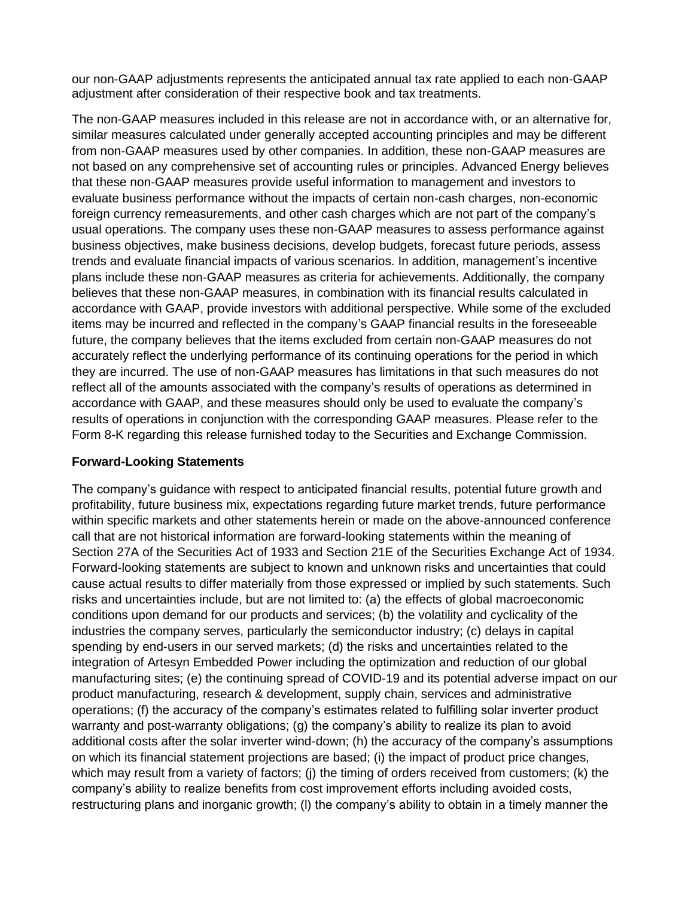our non-GAAP adjustments represents the anticipated annual tax rate applied to each non-GAAP adjustment after consideration of their respective book and tax treatments.

The non-GAAP measures included in this release are not in accordance with, or an alternative for, similar measures calculated under generally accepted accounting principles and may be different from non-GAAP measures used by other companies. In addition, these non-GAAP measures are not based on any comprehensive set of accounting rules or principles. Advanced Energy believes that these non-GAAP measures provide useful information to management and investors to evaluate business performance without the impacts of certain non-cash charges, non-economic foreign currency remeasurements, and other cash charges which are not part of the company's usual operations. The company uses these non-GAAP measures to assess performance against business objectives, make business decisions, develop budgets, forecast future periods, assess trends and evaluate financial impacts of various scenarios. In addition, management's incentive plans include these non-GAAP measures as criteria for achievements. Additionally, the company believes that these non-GAAP measures, in combination with its financial results calculated in accordance with GAAP, provide investors with additional perspective. While some of the excluded items may be incurred and reflected in the company's GAAP financial results in the foreseeable future, the company believes that the items excluded from certain non-GAAP measures do not accurately reflect the underlying performance of its continuing operations for the period in which they are incurred. The use of non-GAAP measures has limitations in that such measures do not reflect all of the amounts associated with the company's results of operations as determined in accordance with GAAP, and these measures should only be used to evaluate the company's results of operations in conjunction with the corresponding GAAP measures. Please refer to the Form 8-K regarding this release furnished today to the Securities and Exchange Commission.

# **Forward-Looking Statements**

The company's guidance with respect to anticipated financial results, potential future growth and profitability, future business mix, expectations regarding future market trends, future performance within specific markets and other statements herein or made on the above-announced conference call that are not historical information are forward-looking statements within the meaning of Section 27A of the Securities Act of 1933 and Section 21E of the Securities Exchange Act of 1934. Forward-looking statements are subject to known and unknown risks and uncertainties that could cause actual results to differ materially from those expressed or implied by such statements. Such risks and uncertainties include, but are not limited to: (a) the effects of global macroeconomic conditions upon demand for our products and services; (b) the volatility and cyclicality of the industries the company serves, particularly the semiconductor industry; (c) delays in capital spending by end-users in our served markets; (d) the risks and uncertainties related to the integration of Artesyn Embedded Power including the optimization and reduction of our global manufacturing sites; (e) the continuing spread of COVID-19 and its potential adverse impact on our product manufacturing, research & development, supply chain, services and administrative operations; (f) the accuracy of the company's estimates related to fulfilling solar inverter product warranty and post-warranty obligations; (g) the company's ability to realize its plan to avoid additional costs after the solar inverter wind-down; (h) the accuracy of the company's assumptions on which its financial statement projections are based; (i) the impact of product price changes, which may result from a variety of factors; (j) the timing of orders received from customers; (k) the company's ability to realize benefits from cost improvement efforts including avoided costs, restructuring plans and inorganic growth; (l) the company's ability to obtain in a timely manner the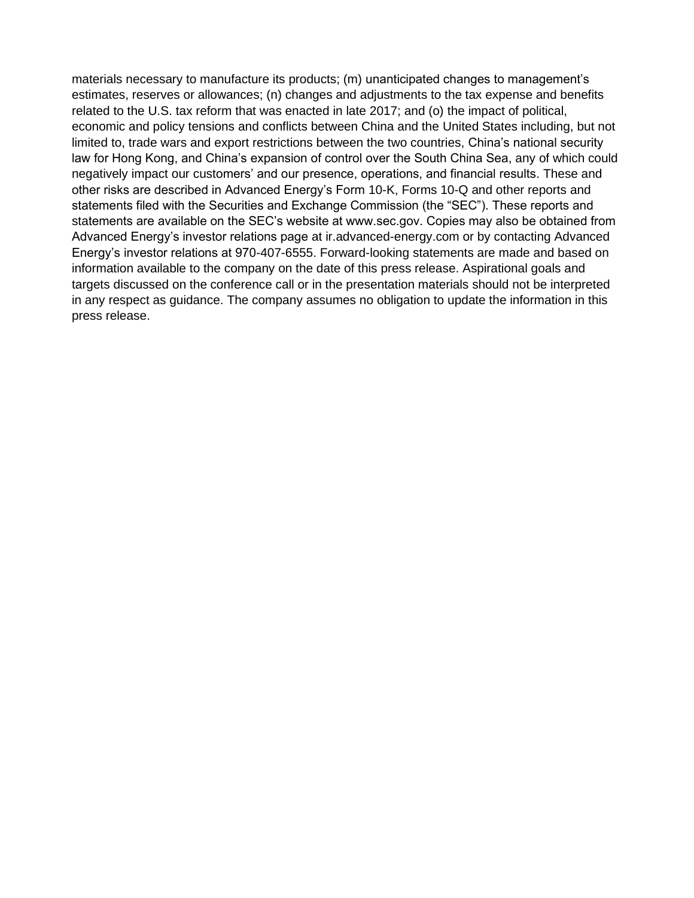materials necessary to manufacture its products; (m) unanticipated changes to management's estimates, reserves or allowances; (n) changes and adjustments to the tax expense and benefits related to the U.S. tax reform that was enacted in late 2017; and (o) the impact of political, economic and policy tensions and conflicts between China and the United States including, but not limited to, trade wars and export restrictions between the two countries, China's national security law for Hong Kong, and China's expansion of control over the South China Sea, any of which could negatively impact our customers' and our presence, operations, and financial results. These and other risks are described in Advanced Energy's Form 10-K, Forms 10-Q and other reports and statements filed with the Securities and Exchange Commission (the "SEC"). These reports and statements are available on the SEC's website at www.sec.gov. Copies may also be obtained from Advanced Energy's investor relations page at ir.advanced-energy.com or by contacting Advanced Energy's investor relations at 970-407-6555. Forward-looking statements are made and based on information available to the company on the date of this press release. Aspirational goals and targets discussed on the conference call or in the presentation materials should not be interpreted in any respect as guidance. The company assumes no obligation to update the information in this press release.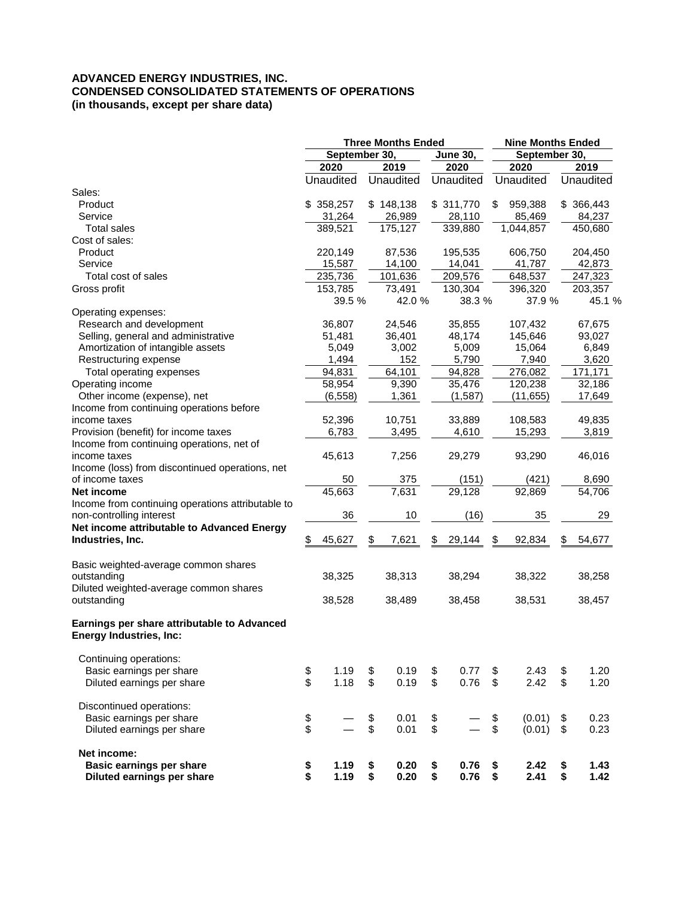#### **ADVANCED ENERGY INDUSTRIES, INC. CONDENSED CONSOLIDATED STATEMENTS OF OPERATIONS (in thousands, except per share data)**

|                                                               |          |               |          | <b>Three Months Ended</b> | <b>Nine Months Ended</b> |              |          |               |          |              |  |
|---------------------------------------------------------------|----------|---------------|----------|---------------------------|--------------------------|--------------|----------|---------------|----------|--------------|--|
|                                                               |          | September 30, |          |                           |                          | June 30,     |          | September 30, |          |              |  |
|                                                               |          | 2020          |          | 2019                      |                          | 2020         |          | 2020          |          | 2019         |  |
|                                                               |          | Unaudited     |          | Unaudited                 |                          | Unaudited    |          | Unaudited     |          | Unaudited    |  |
| Sales:                                                        |          |               |          |                           |                          |              |          |               |          |              |  |
| Product                                                       |          | \$358,257     |          | \$148,138                 |                          | \$311,770    | \$       | 959,388       |          | \$366,443    |  |
| Service                                                       |          | 31,264        |          | 26,989                    |                          | 28,110       |          | 85,469        |          | 84,237       |  |
| <b>Total sales</b>                                            |          | 389,521       |          | 175,127                   |                          | 339,880      |          | 1,044,857     |          | 450,680      |  |
| Cost of sales:                                                |          |               |          |                           |                          |              |          |               |          |              |  |
| Product                                                       |          | 220,149       |          | 87,536                    |                          | 195,535      |          | 606,750       |          | 204,450      |  |
| Service                                                       |          | 15,587        |          | 14,100                    |                          | 14,041       |          | 41,787        |          | 42,873       |  |
| Total cost of sales                                           |          | 235,736       |          | 101,636                   |                          | 209,576      |          | 648,537       |          | 247,323      |  |
| Gross profit                                                  |          | 153,785       |          | 73,491                    |                          | 130,304      |          | 396,320       |          | 203,357      |  |
|                                                               |          | 39.5 %        |          | 42.0%                     |                          | 38.3 %       |          | 37.9 %        |          | 45.1 %       |  |
| Operating expenses:                                           |          |               |          |                           |                          |              |          |               |          |              |  |
| Research and development                                      |          | 36,807        |          | 24,546                    |                          | 35,855       |          | 107,432       |          | 67,675       |  |
| Selling, general and administrative                           |          | 51,481        |          | 36,401                    |                          | 48,174       |          | 145,646       |          | 93,027       |  |
| Amortization of intangible assets                             |          | 5,049         |          | 3,002                     |                          | 5,009        |          | 15,064        |          | 6,849        |  |
| Restructuring expense                                         |          | 1,494         |          | 152                       |                          | 5,790        |          | 7,940         |          | 3,620        |  |
| Total operating expenses                                      |          | 94,831        |          | 64,101                    |                          | 94,828       |          | 276,082       |          | 171,171      |  |
| Operating income                                              |          | 58,954        |          | 9,390                     |                          | 35,476       |          | 120,238       |          | 32,186       |  |
| Other income (expense), net                                   |          | (6, 558)      |          | 1,361                     |                          | (1, 587)     |          | (11, 655)     |          | 17,649       |  |
| Income from continuing operations before                      |          |               |          |                           |                          |              |          |               |          |              |  |
| income taxes                                                  |          | 52,396        |          | 10,751                    |                          | 33,889       |          | 108,583       |          | 49,835       |  |
| Provision (benefit) for income taxes                          |          | 6,783         |          | 3,495                     |                          | 4,610        |          | 15,293        |          | 3,819        |  |
| Income from continuing operations, net of                     |          |               |          |                           |                          |              |          |               |          |              |  |
| income taxes                                                  |          | 45,613        |          | 7,256                     |                          | 29,279       |          | 93,290        |          | 46,016       |  |
| Income (loss) from discontinued operations, net               |          |               |          |                           |                          |              |          |               |          |              |  |
| of income taxes                                               |          | 50            |          | 375                       |                          | (151)        |          | (421)         |          | 8,690        |  |
| <b>Net income</b>                                             |          | 45,663        |          | 7,631                     |                          | 29,128       |          | 92,869        |          | 54,706       |  |
| Income from continuing operations attributable to             |          |               |          |                           |                          |              |          |               |          |              |  |
| non-controlling interest                                      |          | 36            |          | 10                        |                          | (16)         |          | 35            |          | 29           |  |
| Net income attributable to Advanced Energy                    |          |               |          |                           |                          |              |          |               |          |              |  |
| Industries, Inc.                                              | \$       | 45,627        | \$       | 7,621                     | \$                       | 29,144       | \$       | 92,834        | \$       | 54,677       |  |
|                                                               |          |               |          |                           |                          |              |          |               |          |              |  |
| Basic weighted-average common shares                          |          |               |          |                           |                          |              |          |               |          |              |  |
| outstanding                                                   |          | 38,325        |          | 38,313                    |                          | 38,294       |          | 38,322        |          | 38,258       |  |
| Diluted weighted-average common shares                        |          |               |          |                           |                          |              |          |               |          |              |  |
| outstanding                                                   |          | 38,528        |          | 38,489                    |                          | 38,458       |          | 38,531        |          | 38,457       |  |
|                                                               |          |               |          |                           |                          |              |          |               |          |              |  |
| Earnings per share attributable to Advanced                   |          |               |          |                           |                          |              |          |               |          |              |  |
| <b>Energy Industries, Inc:</b>                                |          |               |          |                           |                          |              |          |               |          |              |  |
|                                                               |          |               |          |                           |                          |              |          |               |          |              |  |
| Continuing operations:                                        |          |               |          |                           |                          |              |          |               |          |              |  |
| Basic earnings per share                                      | \$       | 1.19          | \$       | 0.19                      | \$                       | 0.77         | \$       | 2.43          | \$       | 1.20         |  |
| Diluted earnings per share                                    | \$       | 1.18          | \$       | 0.19                      | \$                       | 0.76         | \$       | 2.42          | \$       | 1.20         |  |
|                                                               |          |               |          |                           |                          |              |          |               |          |              |  |
| Discontinued operations:                                      |          |               |          |                           |                          |              |          |               |          |              |  |
| Basic earnings per share                                      | \$       |               | \$       | 0.01                      | \$                       |              | \$       | (0.01)        | \$       | 0.23         |  |
| Diluted earnings per share                                    | \$       |               | \$       | 0.01                      | \$                       |              | \$       | (0.01)        | \$       | 0.23         |  |
|                                                               |          |               |          |                           |                          |              |          |               |          |              |  |
| Net income:                                                   |          |               |          |                           |                          |              |          |               |          |              |  |
| <b>Basic earnings per share</b><br>Diluted earnings per share | \$<br>\$ | 1.19<br>1.19  | \$<br>\$ | 0.20<br>0.20              | \$<br>$\ddot{\bm{s}}$    | 0.76<br>0.76 | \$<br>\$ | 2.42<br>2.41  | \$<br>\$ | 1.43<br>1.42 |  |
|                                                               |          |               |          |                           |                          |              |          |               |          |              |  |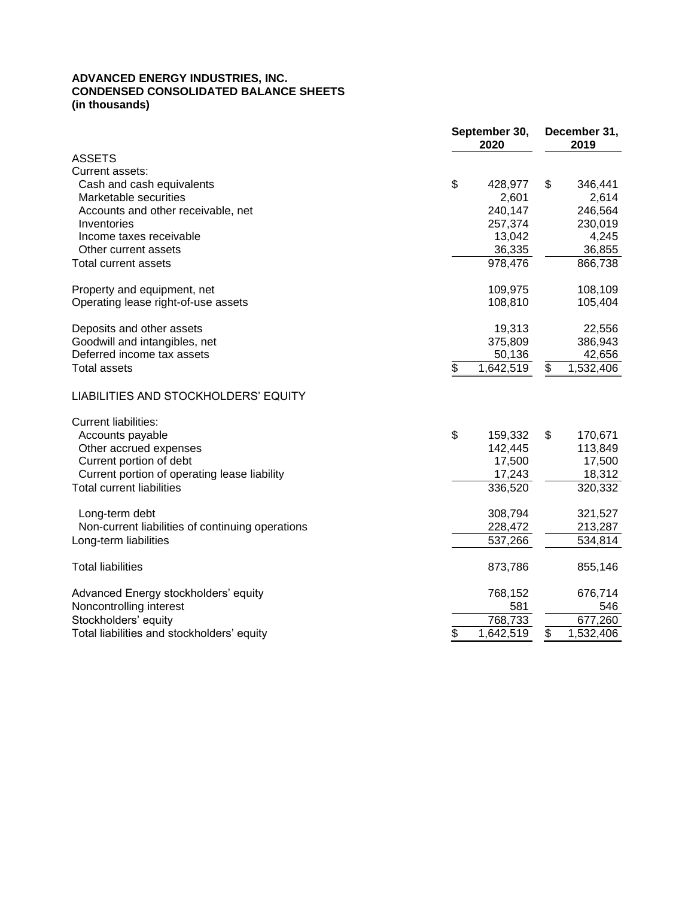#### **ADVANCED ENERGY INDUSTRIES, INC. CONDENSED CONSOLIDATED BALANCE SHEETS (in thousands)**

|                                                  |                          | September 30,<br>2020 |                 |           |
|--------------------------------------------------|--------------------------|-----------------------|-----------------|-----------|
| <b>ASSETS</b>                                    |                          |                       |                 |           |
| Current assets:                                  |                          |                       |                 |           |
| Cash and cash equivalents                        | \$                       | 428,977               | \$              | 346,441   |
| Marketable securities                            |                          | 2,601                 |                 | 2,614     |
| Accounts and other receivable, net               |                          | 240,147               |                 | 246,564   |
| Inventories                                      |                          | 257,374               |                 | 230,019   |
| Income taxes receivable                          |                          | 13,042                |                 | 4,245     |
| Other current assets                             |                          | 36,335                |                 | 36,855    |
| Total current assets                             |                          | 978,476               |                 | 866,738   |
| Property and equipment, net                      |                          | 109,975               |                 | 108,109   |
| Operating lease right-of-use assets              |                          | 108,810               |                 | 105,404   |
| Deposits and other assets                        |                          | 19,313                |                 | 22,556    |
| Goodwill and intangibles, net                    |                          | 375,809               |                 | 386,943   |
| Deferred income tax assets                       |                          | 50,136                |                 | 42,656    |
| <b>Total assets</b>                              | $\overline{\mathcal{E}}$ | 1,642,519             | \$              | 1,532,406 |
| LIABILITIES AND STOCKHOLDERS' EQUITY             |                          |                       |                 |           |
| <b>Current liabilities:</b>                      |                          |                       |                 |           |
| Accounts payable                                 | \$                       | 159,332               | \$              | 170,671   |
| Other accrued expenses                           |                          | 142,445               |                 | 113,849   |
| Current portion of debt                          |                          | 17,500                |                 | 17,500    |
| Current portion of operating lease liability     |                          | 17,243                |                 | 18,312    |
| <b>Total current liabilities</b>                 |                          | 336,520               |                 | 320,332   |
| Long-term debt                                   |                          | 308,794               |                 | 321,527   |
| Non-current liabilities of continuing operations |                          | 228,472               |                 | 213,287   |
| Long-term liabilities                            |                          | 537,266               |                 | 534,814   |
| <b>Total liabilities</b>                         |                          | 873,786               |                 | 855,146   |
| Advanced Energy stockholders' equity             |                          | 768,152               |                 | 676,714   |
| Noncontrolling interest                          |                          | 581                   |                 | 546       |
| Stockholders' equity                             |                          | 768,733               |                 | 677,260   |
| Total liabilities and stockholders' equity       | $\overline{\$}$          | 1,642,519             | $\overline{\$}$ | 1,532,406 |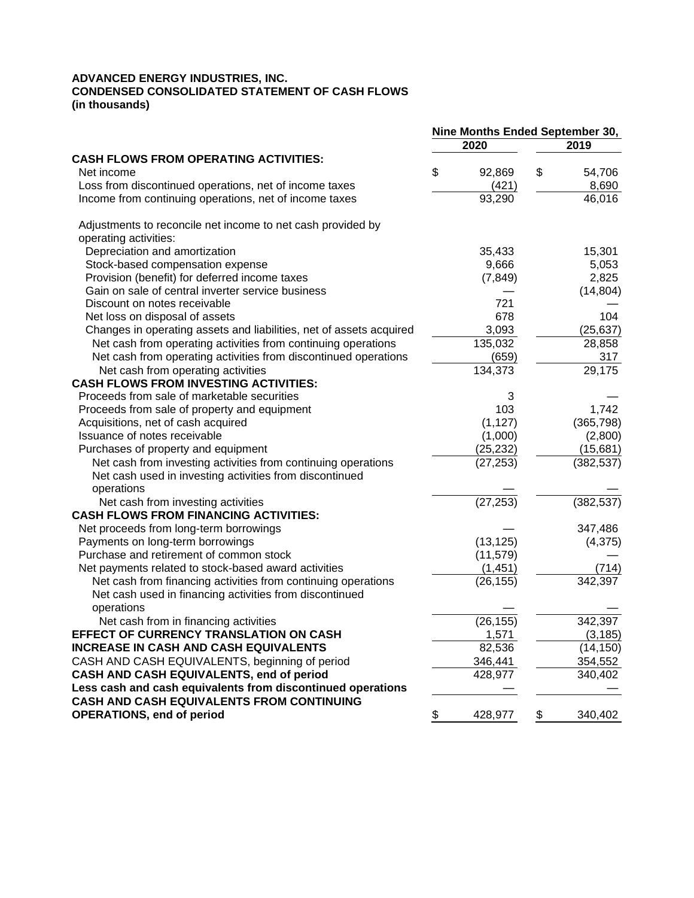#### **ADVANCED ENERGY INDUSTRIES, INC. CONDENSED CONSOLIDATED STATEMENT OF CASH FLOWS (in thousands)**

|                                                                     | Nine Months Ended September 30, |               |  |  |
|---------------------------------------------------------------------|---------------------------------|---------------|--|--|
|                                                                     | 2020                            | 2019          |  |  |
| <b>CASH FLOWS FROM OPERATING ACTIVITIES:</b>                        |                                 |               |  |  |
| Net income                                                          | \$<br>92,869                    | \$<br>54,706  |  |  |
| Loss from discontinued operations, net of income taxes              | (421)                           | 8,690         |  |  |
| Income from continuing operations, net of income taxes              | 93,290                          | 46,016        |  |  |
| Adjustments to reconcile net income to net cash provided by         |                                 |               |  |  |
| operating activities:                                               |                                 |               |  |  |
| Depreciation and amortization                                       | 35,433                          | 15,301        |  |  |
| Stock-based compensation expense                                    | 9,666                           | 5,053         |  |  |
| Provision (benefit) for deferred income taxes                       | (7, 849)                        | 2,825         |  |  |
| Gain on sale of central inverter service business                   |                                 | (14, 804)     |  |  |
| Discount on notes receivable                                        | 721                             |               |  |  |
| Net loss on disposal of assets                                      | 678                             | 104           |  |  |
| Changes in operating assets and liabilities, net of assets acquired | 3,093                           | (25, 637)     |  |  |
| Net cash from operating activities from continuing operations       | 135,032                         | 28,858        |  |  |
| Net cash from operating activities from discontinued operations     | (659)                           | 317           |  |  |
| Net cash from operating activities                                  | 134,373                         | 29,175        |  |  |
| <b>CASH FLOWS FROM INVESTING ACTIVITIES:</b>                        |                                 |               |  |  |
| Proceeds from sale of marketable securities                         | 3                               |               |  |  |
| Proceeds from sale of property and equipment                        | 103                             | 1,742         |  |  |
| Acquisitions, net of cash acquired                                  | (1, 127)                        | (365, 798)    |  |  |
| Issuance of notes receivable                                        | (1,000)                         | (2,800)       |  |  |
| Purchases of property and equipment                                 | (25, 232)                       | (15,681)      |  |  |
| Net cash from investing activities from continuing operations       | (27, 253)                       | (382, 537)    |  |  |
| Net cash used in investing activities from discontinued             |                                 |               |  |  |
| operations                                                          |                                 |               |  |  |
| Net cash from investing activities                                  | (27, 253)                       | (382, 537)    |  |  |
| <b>CASH FLOWS FROM FINANCING ACTIVITIES:</b>                        |                                 |               |  |  |
| Net proceeds from long-term borrowings                              |                                 | 347,486       |  |  |
| Payments on long-term borrowings                                    | (13, 125)                       | (4,375)       |  |  |
| Purchase and retirement of common stock                             | (11, 579)                       |               |  |  |
| Net payments related to stock-based award activities                | (1, 451)                        | (714)         |  |  |
| Net cash from financing activities from continuing operations       | (26, 155)                       | 342,397       |  |  |
| Net cash used in financing activities from discontinued             |                                 |               |  |  |
| operations                                                          |                                 |               |  |  |
| Net cash from in financing activities                               | (26, 155)                       | 342,397       |  |  |
| EFFECT OF CURRENCY TRANSLATION ON CASH                              | 1,571                           | (3, 185)      |  |  |
| <b>INCREASE IN CASH AND CASH EQUIVALENTS</b>                        | 82,536                          | (14, 150)     |  |  |
| CASH AND CASH EQUIVALENTS, beginning of period                      | 346,441                         | 354,552       |  |  |
| CASH AND CASH EQUIVALENTS, end of period                            | 428,977                         | 340,402       |  |  |
| Less cash and cash equivalents from discontinued operations         |                                 |               |  |  |
| CASH AND CASH EQUIVALENTS FROM CONTINUING                           |                                 |               |  |  |
|                                                                     |                                 |               |  |  |
| <b>OPERATIONS, end of period</b>                                    | \$<br>428,977                   | \$<br>340,402 |  |  |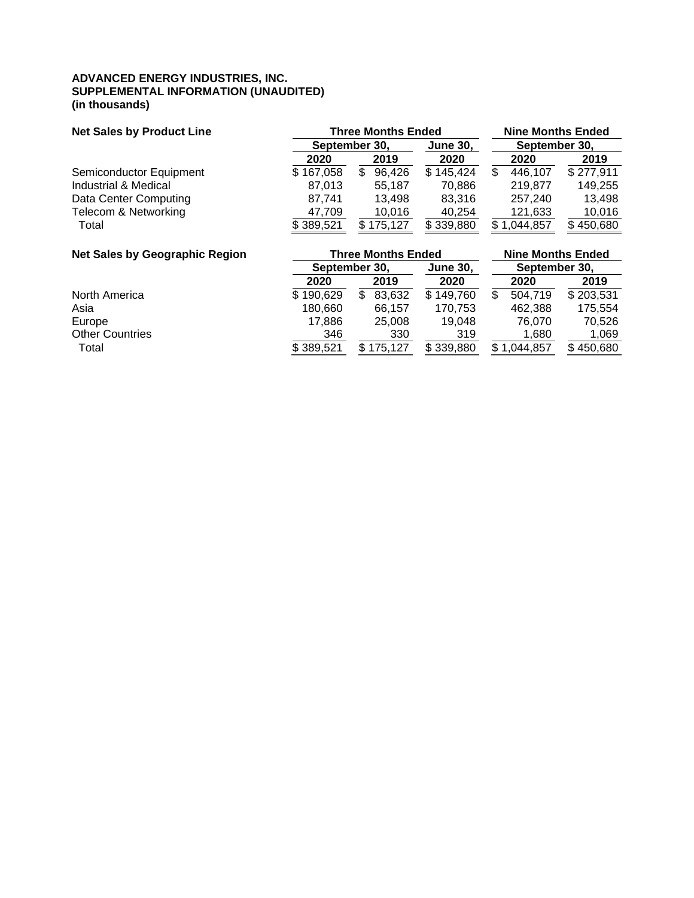#### **ADVANCED ENERGY INDUSTRIES, INC. SUPPLEMENTAL INFORMATION (UNAUDITED) (in thousands)**

| <b>Net Sales by Product Line</b> | <b>Three Months Ended</b> |               |                 |               |           |
|----------------------------------|---------------------------|---------------|-----------------|---------------|-----------|
|                                  |                           | September 30, | <b>June 30.</b> | September 30, |           |
|                                  | 2020                      | 2019          | 2020            | 2020          | 2019      |
| Semiconductor Equipment          | \$167,058                 | 96,426<br>\$. | \$145,424       | 446.107       | \$277,911 |
| Industrial & Medical             | 87.013                    | 55.187        | 70.886          | 219.877       | 149,255   |
| Data Center Computing            | 87.741                    | 13.498        | 83.316          | 257,240       | 13,498    |
| Telecom & Networking             | 47,709                    | 10,016        | 40,254          | 121,633       | 10,016    |
| Total                            | \$389,521                 | \$175.127     | \$339,880       | \$1,044,857   | \$450,680 |

| <b>Net Sales by Geographic Region</b> | <b>Nine Months Ended</b> |               |                 |               |           |
|---------------------------------------|--------------------------|---------------|-----------------|---------------|-----------|
|                                       |                          | September 30, | <b>June 30.</b> | September 30, |           |
|                                       | 2020                     | 2019          | 2020            | 2020          | 2019      |
| North America                         | \$190.629                | 83,632        | \$149,760       | 504.719       | \$203,531 |
| Asia                                  | 180,660                  | 66.157        | 170,753         | 462.388       | 175.554   |
| Europe                                | 17,886                   | 25,008        | 19.048          | 76.070        | 70.526    |
| <b>Other Countries</b>                | 346                      | 330           | 319             | 1.680         | 1,069     |
| Total                                 | \$389,521                | 175,127<br>S. | \$339,880       | \$1,044,857   | \$450,680 |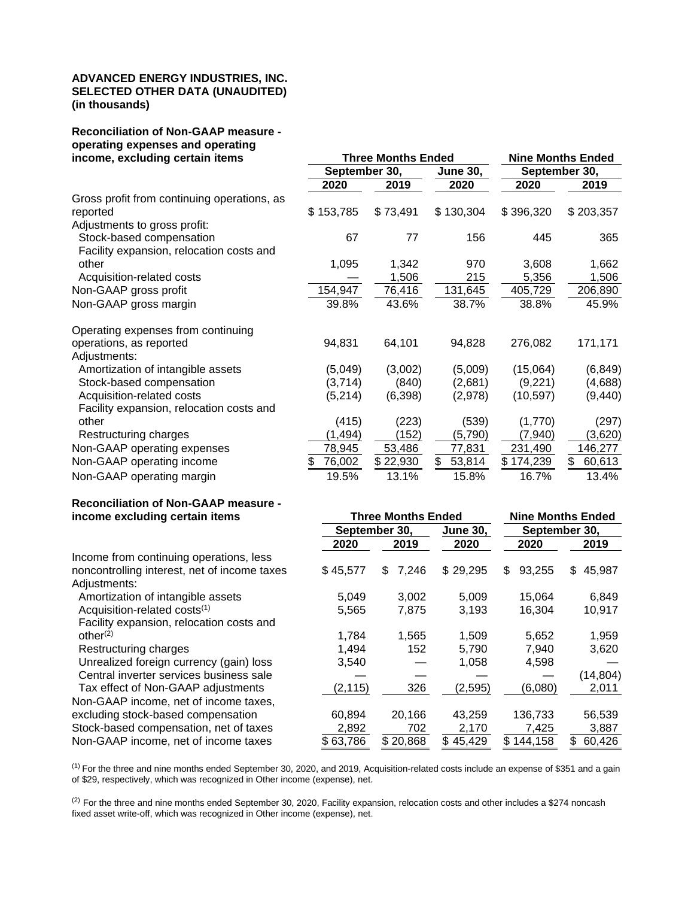#### **ADVANCED ENERGY INDUSTRIES, INC. SELECTED OTHER DATA (UNAUDITED) (in thousands)**

# **Reconciliation of Non-GAAP measure operating expenses and operating**

| income, excluding certain items             |               | <b>Three Months Ended</b> | <b>Nine Months Ended</b> |           |               |  |
|---------------------------------------------|---------------|---------------------------|--------------------------|-----------|---------------|--|
|                                             | September 30, |                           | <b>June 30,</b>          |           | September 30, |  |
|                                             | 2020          | 2019                      | 2020                     | 2020      | 2019          |  |
| Gross profit from continuing operations, as |               |                           |                          |           |               |  |
| reported                                    | \$153,785     | \$73,491                  | \$130,304                | \$396,320 | \$203,357     |  |
| Adjustments to gross profit:                |               |                           |                          |           |               |  |
| Stock-based compensation                    | 67            | 77                        | 156                      | 445       | 365           |  |
| Facility expansion, relocation costs and    |               |                           |                          |           |               |  |
| other                                       | 1,095         | 1,342                     | 970                      | 3,608     | 1,662         |  |
| Acquisition-related costs                   |               | 1,506                     | 215                      | 5,356     | 1,506         |  |
| Non-GAAP gross profit                       | 154,947       | 76,416                    | 131,645                  | 405,729   | 206,890       |  |
| Non-GAAP gross margin                       | 39.8%         | 43.6%                     | 38.7%                    | 38.8%     | 45.9%         |  |
| Operating expenses from continuing          |               |                           |                          |           |               |  |
| operations, as reported                     | 94,831        | 64,101                    | 94,828                   | 276,082   | 171,171       |  |
| Adjustments:                                |               |                           |                          |           |               |  |
| Amortization of intangible assets           | (5,049)       | (3,002)                   | (5,009)                  | (15,064)  | (6, 849)      |  |
| Stock-based compensation                    | (3,714)       | (840)                     | (2,681)                  | (9,221)   | (4,688)       |  |
| Acquisition-related costs                   | (5, 214)      | (6,398)                   | (2,978)                  | (10, 597) | (9, 440)      |  |
| Facility expansion, relocation costs and    |               |                           |                          |           |               |  |
| other                                       | (415)         | (223)                     | (539)                    | (1,770)   | (297)         |  |
| Restructuring charges                       | (1, 494)      | (152)                     | (5,790)                  | (7, 940)  | (3,620)       |  |
| Non-GAAP operating expenses                 | 78,945        | 53,486                    | 77,831                   | 231,490   | 146,277       |  |
| Non-GAAP operating income                   | 76,002<br>S   | \$22,930                  | \$<br>53,814             | \$174,239 | \$<br>60,613  |  |
| Non-GAAP operating margin                   | 19.5%         | 13.1%                     | 15.8%                    | 16.7%     | 13.4%         |  |

# **Reconciliation of Non-GAAP measure -**

| income excluding certain items                               |               | <b>Three Months Ended</b> | <b>Nine Months Ended</b> |               |               |  |  |
|--------------------------------------------------------------|---------------|---------------------------|--------------------------|---------------|---------------|--|--|
|                                                              | September 30, |                           | <b>June 30.</b>          | September 30, |               |  |  |
|                                                              | 2020          | 2019                      | 2020                     | 2020          | 2019          |  |  |
| Income from continuing operations, less                      |               |                           |                          |               |               |  |  |
| noncontrolling interest, net of income taxes<br>Adjustments: | \$45,577      | 7,246<br>\$.              | \$29,295                 | 93,255<br>\$. | 45,987<br>\$. |  |  |
| Amortization of intangible assets                            | 5,049         | 3.002                     | 5,009                    | 15.064        | 6,849         |  |  |
| Acquisition-related costs <sup>(1)</sup>                     | 5,565         | 7,875                     | 3,193                    | 16,304        | 10,917        |  |  |
| Facility expansion, relocation costs and                     |               |                           |                          |               |               |  |  |
| other <sup>(2)</sup>                                         | 1.784         | 1.565                     | 1.509                    | 5,652         | 1,959         |  |  |
| Restructuring charges                                        | 1.494         | 152                       | 5.790                    | 7,940         | 3,620         |  |  |
| Unrealized foreign currency (gain) loss                      | 3,540         |                           | 1,058                    | 4,598         |               |  |  |
| Central inverter services business sale                      |               |                           |                          |               | (14, 804)     |  |  |
| Tax effect of Non-GAAP adjustments                           | (2, 115)      | 326                       | (2,595)                  | (6,080)       | 2,011         |  |  |
| Non-GAAP income, net of income taxes,                        |               |                           |                          |               |               |  |  |
| excluding stock-based compensation                           | 60,894        | 20,166                    | 43,259                   | 136,733       | 56,539        |  |  |
| Stock-based compensation, net of taxes                       | 2,892         | 702                       | 2,170                    | 7,425         | 3,887         |  |  |
| Non-GAAP income, net of income taxes                         | \$63,786      | \$20,868                  | \$45,429                 | \$144,158     | 60,426        |  |  |

(1) For the three and nine months ended September 30, 2020, and 2019, Acquisition-related costs include an expense of \$351 and a gain of \$29, respectively, which was recognized in Other income (expense), net.

 $^{(2)}$  For the three and nine months ended September 30, 2020, Facility expansion, relocation costs and other includes a \$274 noncash fixed asset write-off, which was recognized in Other income (expense), net.